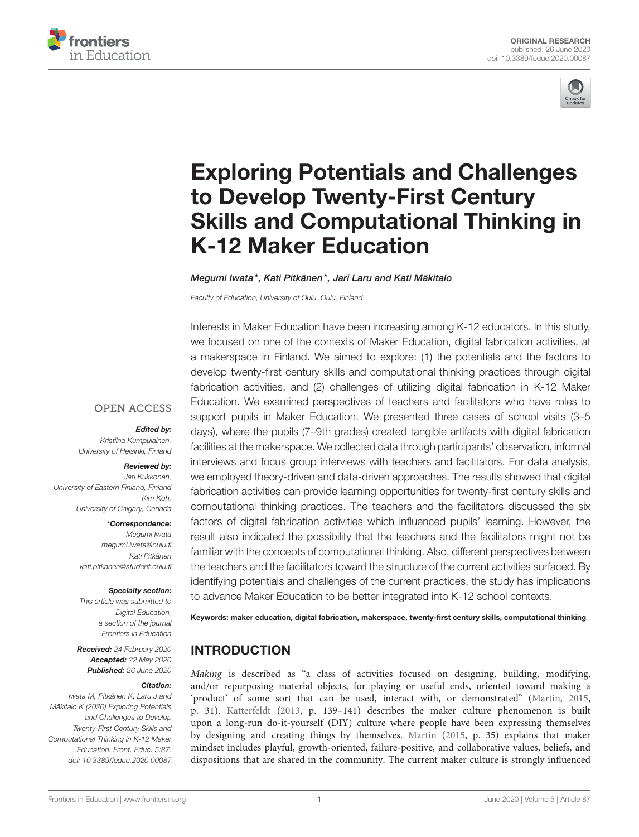



# Exploring Potentials and Challenges to Develop Twenty-First Century [Skills and Computational Thinking in](https://www.frontiersin.org/articles/10.3389/feduc.2020.00087/full) K-12 Maker Education

#### [Megumi Iwata\\*](http://loop.frontiersin.org/people/909520/overview), [Kati Pitkänen\\*](http://loop.frontiersin.org/people/917220/overview), [Jari Laru](http://loop.frontiersin.org/people/829510/overview) and [Kati Mäkitalo](http://loop.frontiersin.org/people/1005533/overview)

Faculty of Education, University of Oulu, Oulu, Finland

Interests in Maker Education have been increasing among K-12 educators. In this study, we focused on one of the contexts of Maker Education, digital fabrication activities, at a makerspace in Finland. We aimed to explore: (1) the potentials and the factors to develop twenty-first century skills and computational thinking practices through digital fabrication activities, and (2) challenges of utilizing digital fabrication in K-12 Maker Education. We examined perspectives of teachers and facilitators who have roles to support pupils in Maker Education. We presented three cases of school visits (3–5 days), where the pupils (7–9th grades) created tangible artifacts with digital fabrication facilities at the makerspace. We collected data through participants' observation, informal interviews and focus group interviews with teachers and facilitators. For data analysis, we employed theory-driven and data-driven approaches. The results showed that digital fabrication activities can provide learning opportunities for twenty-first century skills and computational thinking practices. The teachers and the facilitators discussed the six factors of digital fabrication activities which influenced pupils' learning. However, the result also indicated the possibility that the teachers and the facilitators might not be familiar with the concepts of computational thinking. Also, different perspectives between the teachers and the facilitators toward the structure of the current activities surfaced. By identifying potentials and challenges of the current practices, the study has implications to advance Maker Education to be better integrated into K-12 school contexts.

Keywords: maker education, digital fabrication, makerspace, twenty-first century skills, computational thinking

### INTRODUCTION

Making is described as "a class of activities focused on designing, building, modifying, and/or repurposing material objects, for playing or useful ends, oriented toward making a 'product' of some sort that can be used, interact with, or demonstrated" [\(Martin, 2015,](#page-14-0) p. 31). [Katterfeldt](#page-14-1) [\(2013,](#page-14-1) p. 139–141) describes the maker culture phenomenon is built upon a long-run do-it-yourself (DIY) culture where people have been expressing themselves by designing and creating things by themselves. [Martin](#page-14-0) [\(2015,](#page-14-0) p. 35) explains that maker mindset includes playful, growth-oriented, failure-positive, and collaborative values, beliefs, and dispositions that are shared in the community. The current maker culture is strongly influenced

### **OPEN ACCESS**

#### Edited by:

Kristiina Kumpulainen, University of Helsinki, Finland

### Reviewed by:

Jari Kukkonen, University of Eastern Finland, Finland Kim Koh, University of Calgary, Canada

#### \*Correspondence:

Megumi Iwata [megumi.iwata@oulu.fi](mailto:megumi.iwata@oulu.fi) Kati Pitkänen [kati.pitkanen@student.oulu.fi](mailto:kati.pitkanen@student.oulu.fi)

#### Specialty section:

This article was submitted to Digital Education. a section of the journal Frontiers in Education

Received: 24 February 2020 Accepted: 22 May 2020 Published: 26 June 2020

#### Citation:

Iwata M, Pitkänen K, Laru J and Mäkitalo K (2020) Exploring Potentials and Challenges to Develop Twenty-First Century Skills and Computational Thinking in K-12 Maker Education. Front. Educ. 5:87. doi: [10.3389/feduc.2020.00087](https://doi.org/10.3389/feduc.2020.00087)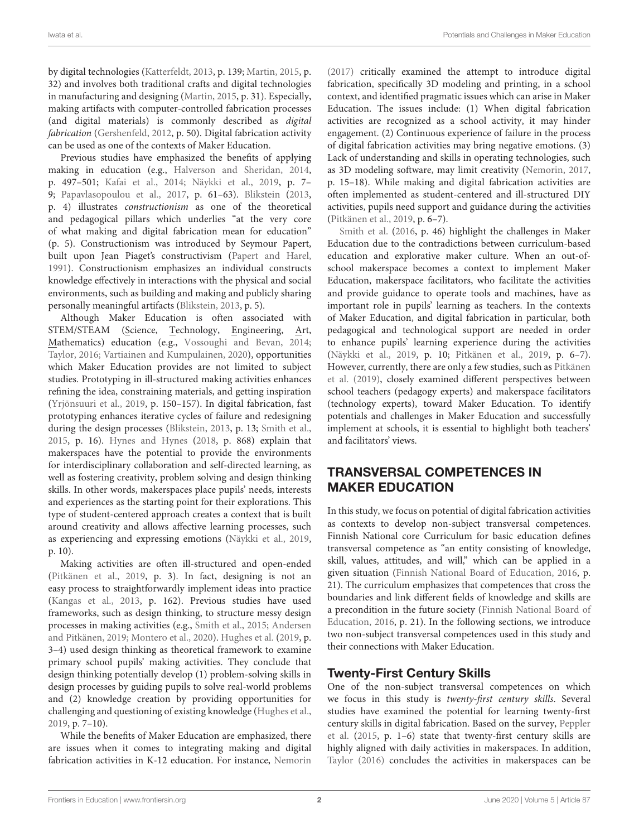by digital technologies [\(Katterfeldt, 2013,](#page-14-1) p. 139; [Martin, 2015,](#page-14-0) p. 32) and involves both traditional crafts and digital technologies in manufacturing and designing [\(Martin, 2015,](#page-14-0) p. 31). Especially, making artifacts with computer-controlled fabrication processes (and digital materials) is commonly described as digital fabrication [\(Gershenfeld, 2012,](#page-14-2) p. 50). Digital fabrication activity can be used as one of the contexts of Maker Education.

Previous studies have emphasized the benefits of applying making in education (e.g., [Halverson and Sheridan, 2014,](#page-14-3) p. 497–501; [Kafai et al., 2014;](#page-14-4) [Näykki et al., 2019,](#page-14-5) p. 7– 9; [Papavlasopoulou et al., 2017,](#page-14-6) p. 61–63). [Blikstein](#page-13-0) [\(2013,](#page-13-0) p. 4) illustrates constructionism as one of the theoretical and pedagogical pillars which underlies "at the very core of what making and digital fabrication mean for education" (p. 5). Constructionism was introduced by Seymour Papert, built upon Jean Piaget's constructivism [\(Papert and Harel,](#page-14-7) [1991\)](#page-14-7). Constructionism emphasizes an individual constructs knowledge effectively in interactions with the physical and social environments, such as building and making and publicly sharing personally meaningful artifacts [\(Blikstein, 2013,](#page-13-0) p. 5).

Although Maker Education is often associated with STEM/STEAM (Science, Technology, Engineering, Art, Mathematics) education (e.g., [Vossoughi and Bevan, 2014;](#page-14-8) [Taylor, 2016;](#page-14-9) [Vartiainen and Kumpulainen, 2020\)](#page-14-10), opportunities which Maker Education provides are not limited to subject studies. Prototyping in ill-structured making activities enhances refining the idea, constraining materials, and getting inspiration [\(Yrjönsuuri et al., 2019,](#page-15-0) p. 150–157). In digital fabrication, fast prototyping enhances iterative cycles of failure and redesigning during the design processes [\(Blikstein, 2013,](#page-13-0) p. 13; [Smith et al.,](#page-14-11) [2015,](#page-14-11) p. 16). [Hynes and Hynes](#page-14-12) [\(2018,](#page-14-12) p. 868) explain that makerspaces have the potential to provide the environments for interdisciplinary collaboration and self-directed learning, as well as fostering creativity, problem solving and design thinking skills. In other words, makerspaces place pupils' needs, interests and experiences as the starting point for their explorations. This type of student-centered approach creates a context that is built around creativity and allows affective learning processes, such as experiencing and expressing emotions [\(Näykki et al., 2019,](#page-14-5) p. 10).

Making activities are often ill-structured and open-ended [\(Pitkänen et al., 2019,](#page-14-13) p. 3). In fact, designing is not an easy process to straightforwardly implement ideas into practice [\(Kangas et al., 2013,](#page-14-14) p. 162). Previous studies have used frameworks, such as design thinking, to structure messy design processes in making activities (e.g., [Smith et al., 2015;](#page-14-11) Andersen and Pitkänen, [2019;](#page-13-1) [Montero et al., 2020\)](#page-14-15). [Hughes et al.](#page-14-16) [\(2019,](#page-14-16) p. 3–4) used design thinking as theoretical framework to examine primary school pupils' making activities. They conclude that design thinking potentially develop (1) problem-solving skills in design processes by guiding pupils to solve real-world problems and (2) knowledge creation by providing opportunities for challenging and questioning of existing knowledge [\(Hughes et al.,](#page-14-16) [2019,](#page-14-16) p. 7–10).

While the benefits of Maker Education are emphasized, there are issues when it comes to integrating making and digital fabrication activities in K-12 education. For instance, [Nemorin](#page-14-17) [\(2017\)](#page-14-17) critically examined the attempt to introduce digital fabrication, specifically 3D modeling and printing, in a school context, and identified pragmatic issues which can arise in Maker Education. The issues include: (1) When digital fabrication activities are recognized as a school activity, it may hinder engagement. (2) Continuous experience of failure in the process of digital fabrication activities may bring negative emotions. (3) Lack of understanding and skills in operating technologies, such as 3D modeling software, may limit creativity [\(Nemorin, 2017,](#page-14-17) p. 15–18). While making and digital fabrication activities are often implemented as student-centered and ill-structured DIY activities, pupils need support and guidance during the activities [\(Pitkänen et al., 2019,](#page-14-13) p. 6–7).

Smith et al. [\(2016,](#page-14-18) p. 46) highlight the challenges in Maker Education due to the contradictions between curriculum-based education and explorative maker culture. When an out-ofschool makerspace becomes a context to implement Maker Education, makerspace facilitators, who facilitate the activities and provide guidance to operate tools and machines, have as important role in pupils' learning as teachers. In the contexts of Maker Education, and digital fabrication in particular, both pedagogical and technological support are needed in order to enhance pupils' learning experience during the activities [\(Näykki et al., 2019,](#page-14-5) p. 10; [Pitkänen et al., 2019,](#page-14-13) p. 6–7). However, currently, there are only a few studies, such as Pitkänen et al. [\(2019\)](#page-14-13), closely examined different perspectives between school teachers (pedagogy experts) and makerspace facilitators (technology experts), toward Maker Education. To identify potentials and challenges in Maker Education and successfully implement at schools, it is essential to highlight both teachers' and facilitators' views.

# TRANSVERSAL COMPETENCES IN MAKER EDUCATION

In this study, we focus on potential of digital fabrication activities as contexts to develop non-subject transversal competences. Finnish National core Curriculum for basic education defines transversal competence as "an entity consisting of knowledge, skill, values, attitudes, and will," which can be applied in a given situation [\(Finnish National Board of Education, 2016,](#page-14-19) p. 21). The curriculum emphasizes that competences that cross the boundaries and link different fields of knowledge and skills are a precondition in the future society (Finnish National Board of Education, [2016,](#page-14-19) p. 21). In the following sections, we introduce two non-subject transversal competences used in this study and their connections with Maker Education.

# Twenty-First Century Skills

One of the non-subject transversal competences on which we focus in this study is twenty-first century skills. Several studies have examined the potential for learning twenty-first century skills in digital fabrication. Based on the survey, Peppler et al. [\(2015,](#page-14-20) p. 1–6) state that twenty-first century skills are highly aligned with daily activities in makerspaces. In addition, [Taylor \(2016\)](#page-14-9) concludes the activities in makerspaces can be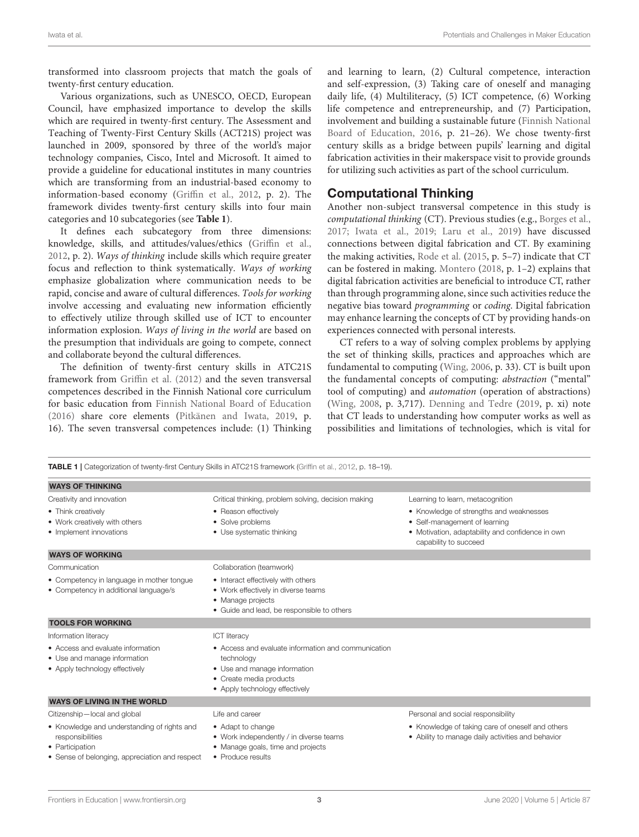transformed into classroom projects that match the goals of twenty-first century education.

Various organizations, such as UNESCO, OECD, European Council, have emphasized importance to develop the skills which are required in twenty-first century. The Assessment and Teaching of Twenty-First Century Skills (ACT21S) project was launched in 2009, sponsored by three of the world's major technology companies, Cisco, Intel and Microsoft. It aimed to provide a guideline for educational institutes in many countries which are transforming from an industrial-based economy to information-based economy [\(Griffin et al., 2012,](#page-14-21) p. 2). The framework divides twenty-first century skills into four main categories and 10 subcategories (see **[Table 1](#page-2-0)**).

It defines each subcategory from three dimensions: knowledge, skills, and attitudes/values/ethics [\(Griffin et al.,](#page-14-21) [2012,](#page-14-21) p. 2). Ways of thinking include skills which require greater focus and reflection to think systematically. Ways of working emphasize globalization where communication needs to be rapid, concise and aware of cultural differences. Tools for working involve accessing and evaluating new information efficiently to effectively utilize through skilled use of ICT to encounter information explosion. Ways of living in the world are based on the presumption that individuals are going to compete, connect and collaborate beyond the cultural differences.

The definition of twenty-first century skills in ATC21S framework from [Griffin et al. \(2012\)](#page-14-21) and the seven transversal competences described in the Finnish National core curriculum for basic education from [Finnish National Board of Education](#page-14-19) [\(2016\)](#page-14-19) share core elements [\(Pitkänen and Iwata, 2019,](#page-14-22) p. 16). The seven transversal competences include: (1) Thinking and learning to learn, (2) Cultural competence, interaction and self-expression, (3) Taking care of oneself and managing daily life, (4) Multiliteracy, (5) ICT competence, (6) Working life competence and entrepreneurship, and (7) Participation, involvement and building a sustainable future (Finnish National Board of Education, [2016,](#page-14-19) p. 21–26). We chose twenty-first century skills as a bridge between pupils' learning and digital fabrication activities in their makerspace visit to provide grounds for utilizing such activities as part of the school curriculum.

### Computational Thinking

Another non-subject transversal competence in this study is computational thinking (CT). Previous studies (e.g., [Borges et al.,](#page-13-2) [2017;](#page-13-2) [Iwata et al., 2019;](#page-14-23) [Laru et al., 2019\)](#page-14-24) have discussed connections between digital fabrication and CT. By examining the making activities, [Rode et al.](#page-14-25) [\(2015,](#page-14-25) p. 5–7) indicate that CT can be fostered in making. [Montero](#page-14-26) [\(2018,](#page-14-26) p. 1–2) explains that digital fabrication activities are beneficial to introduce CT, rather than through programming alone, since such activities reduce the negative bias toward programming or coding. Digital fabrication may enhance learning the concepts of CT by providing hands-on experiences connected with personal interests.

CT refers to a way of solving complex problems by applying the set of thinking skills, practices and approaches which are fundamental to computing [\(Wing, 2006,](#page-15-1) p. 33). CT is built upon the fundamental concepts of computing: abstraction ("mental" tool of computing) and automation (operation of abstractions) [\(Wing, 2008,](#page-15-2) p. 3,717). [Denning and Tedre](#page-14-27) [\(2019,](#page-14-27) p. xi) note that CT leads to understanding how computer works as well as possibilities and limitations of technologies, which is vital for

<span id="page-2-0"></span>

|                                                                                                                                      | <b>TABLE 1</b>   Categorization of twenty-first Century Skills in ATC21S framework (Griffin et al., 2012, p. 18–19).                                           |                                                                                                                                                       |  |  |  |
|--------------------------------------------------------------------------------------------------------------------------------------|----------------------------------------------------------------------------------------------------------------------------------------------------------------|-------------------------------------------------------------------------------------------------------------------------------------------------------|--|--|--|
| <b>WAYS OF THINKING</b>                                                                                                              |                                                                                                                                                                |                                                                                                                                                       |  |  |  |
| Creativity and innovation                                                                                                            | Critical thinking, problem solving, decision making                                                                                                            | Learning to learn, metacognition                                                                                                                      |  |  |  |
| • Think creatively<br>• Work creatively with others<br>• Implement innovations                                                       | • Reason effectively<br>• Solve problems<br>• Use systematic thinking                                                                                          | • Knowledge of strengths and weaknesses<br>• Self-management of learning<br>• Motivation, adaptability and confidence in own<br>capability to succeed |  |  |  |
| <b>WAYS OF WORKING</b>                                                                                                               |                                                                                                                                                                |                                                                                                                                                       |  |  |  |
| Communication                                                                                                                        | Collaboration (teamwork)                                                                                                                                       |                                                                                                                                                       |  |  |  |
| • Competency in language in mother tongue<br>• Competency in additional language/s                                                   | • Interact effectively with others<br>• Work effectively in diverse teams<br>• Manage projects<br>• Guide and lead, be responsible to others                   |                                                                                                                                                       |  |  |  |
| <b>TOOLS FOR WORKING</b>                                                                                                             |                                                                                                                                                                |                                                                                                                                                       |  |  |  |
| Information literacy                                                                                                                 | <b>ICT</b> literacy                                                                                                                                            |                                                                                                                                                       |  |  |  |
| • Access and evaluate information<br>• Use and manage information<br>• Apply technology effectively                                  | • Access and evaluate information and communication<br>technology<br>• Use and manage information<br>• Create media products<br>• Apply technology effectively |                                                                                                                                                       |  |  |  |
| <b>WAYS OF LIVING IN THE WORLD</b>                                                                                                   |                                                                                                                                                                |                                                                                                                                                       |  |  |  |
| Citizenship-local and global                                                                                                         | Life and career                                                                                                                                                | Personal and social responsibility                                                                                                                    |  |  |  |
| • Knowledge and understanding of rights and<br>responsibilities<br>• Participation<br>• Sense of belonging, appreciation and respect | • Adapt to change<br>• Work independently / in diverse teams<br>• Manage goals, time and projects<br>• Produce results                                         | • Knowledge of taking care of oneself and others<br>• Ability to manage daily activities and behavior                                                 |  |  |  |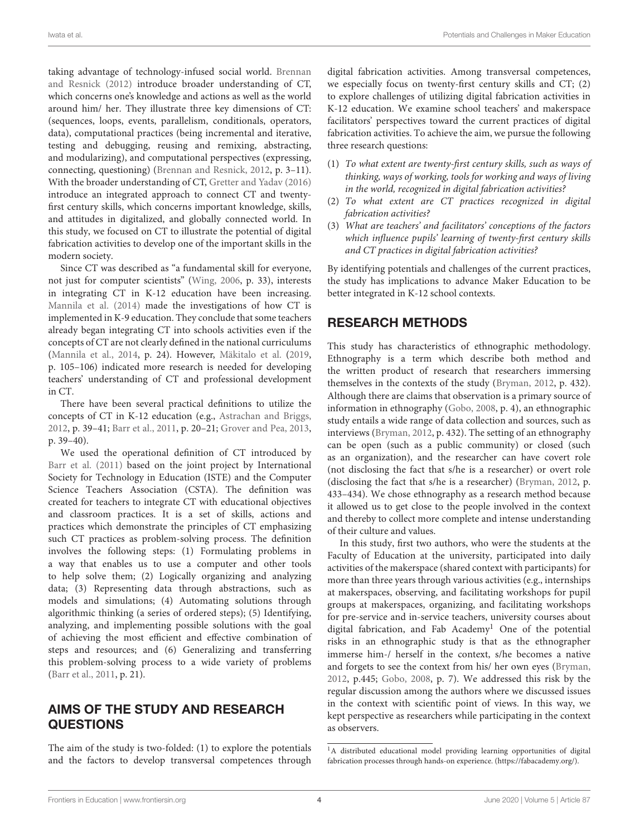taking advantage of technology-infused social world. Brennan and Resnick [\(2012\)](#page-13-3) introduce broader understanding of CT, which concerns one's knowledge and actions as well as the world around him/ her. They illustrate three key dimensions of CT: (sequences, loops, events, parallelism, conditionals, operators, data), computational practices (being incremental and iterative, testing and debugging, reusing and remixing, abstracting, and modularizing), and computational perspectives (expressing, connecting, questioning) [\(Brennan and Resnick, 2012,](#page-13-3) p. 3–11). With the broader understanding of CT, [Gretter and Yadav \(2016\)](#page-14-28) introduce an integrated approach to connect CT and twentyfirst century skills, which concerns important knowledge, skills, and attitudes in digitalized, and globally connected world. In this study, we focused on CT to illustrate the potential of digital fabrication activities to develop one of the important skills in the modern society.

Since CT was described as "a fundamental skill for everyone, not just for computer scientists" [\(Wing, 2006,](#page-15-1) p. 33), interests in integrating CT in K-12 education have been increasing. [Mannila et al. \(2014\)](#page-14-29) made the investigations of how CT is implemented in K-9 education. They conclude that some teachers already began integrating CT into schools activities even if the concepts of CT are not clearly defined in the national curriculums [\(Mannila et al., 2014,](#page-14-29) p. 24). However, [Mäkitalo et al.](#page-14-30) [\(2019,](#page-14-30) p. 105–106) indicated more research is needed for developing teachers' understanding of CT and professional development in CT.

There have been several practical definitions to utilize the concepts of CT in K-12 education (e.g., [Astrachan and Briggs,](#page-13-4) [2012,](#page-13-4) p. 39–41; [Barr et al., 2011,](#page-13-5) p. 20–21; [Grover and Pea, 2013,](#page-14-31) p. 39–40).

We used the operational definition of CT introduced by [Barr et al. \(2011\)](#page-13-5) based on the joint project by International Society for Technology in Education (ISTE) and the Computer Science Teachers Association (CSTA). The definition was created for teachers to integrate CT with educational objectives and classroom practices. It is a set of skills, actions and practices which demonstrate the principles of CT emphasizing such CT practices as problem-solving process. The definition involves the following steps: (1) Formulating problems in a way that enables us to use a computer and other tools to help solve them; (2) Logically organizing and analyzing data; (3) Representing data through abstractions, such as models and simulations; (4) Automating solutions through algorithmic thinking (a series of ordered steps); (5) Identifying, analyzing, and implementing possible solutions with the goal of achieving the most efficient and effective combination of steps and resources; and (6) Generalizing and transferring this problem-solving process to a wide variety of problems [\(Barr et al., 2011,](#page-13-5) p. 21).

# AIMS OF THE STUDY AND RESEARCH QUESTIONS

The aim of the study is two-folded: (1) to explore the potentials and the factors to develop transversal competences through digital fabrication activities. Among transversal competences, we especially focus on twenty-first century skills and CT; (2) to explore challenges of utilizing digital fabrication activities in K-12 education. We examine school teachers' and makerspace facilitators' perspectives toward the current practices of digital fabrication activities. To achieve the aim, we pursue the following three research questions:

- (1) To what extent are twenty-first century skills, such as ways of thinking, ways of working, tools for working and ways of living in the world, recognized in digital fabrication activities?
- (2) To what extent are CT practices recognized in digital fabrication activities?
- (3) What are teachers' and facilitators' conceptions of the factors which influence pupils' learning of twenty-first century skills and CT practices in digital fabrication activities?

By identifying potentials and challenges of the current practices, the study has implications to advance Maker Education to be better integrated in K-12 school contexts.

# RESEARCH METHODS

This study has characteristics of ethnographic methodology. Ethnography is a term which describe both method and the written product of research that researchers immersing themselves in the contexts of the study [\(Bryman, 2012,](#page-14-32) p. 432). Although there are claims that observation is a primary source of information in ethnography [\(Gobo, 2008,](#page-14-33) p. 4), an ethnographic study entails a wide range of data collection and sources, such as interviews [\(Bryman, 2012,](#page-14-32) p. 432). The setting of an ethnography can be open (such as a public community) or closed (such as an organization), and the researcher can have covert role (not disclosing the fact that s/he is a researcher) or overt role (disclosing the fact that s/he is a researcher) [\(Bryman, 2012,](#page-14-32) p. 433–434). We chose ethnography as a research method because it allowed us to get close to the people involved in the context and thereby to collect more complete and intense understanding of their culture and values.

In this study, first two authors, who were the students at the Faculty of Education at the university, participated into daily activities of the makerspace (shared context with participants) for more than three years through various activities (e.g., internships at makerspaces, observing, and facilitating workshops for pupil groups at makerspaces, organizing, and facilitating workshops for pre-service and in-service teachers, university courses about digital fabrication, and Fab Academy<sup>[1](#page-3-0)</sup> One of the potential risks in an ethnographic study is that as the ethnographer immerse him-/ herself in the context, s/he becomes a native and forgets to see the context from his/ her own eyes [\(Bryman,](#page-14-32) [2012,](#page-14-32) p.445; [Gobo, 2008,](#page-14-33) p. 7). We addressed this risk by the regular discussion among the authors where we discussed issues in the context with scientific point of views. In this way, we kept perspective as researchers while participating in the context as observers.

<span id="page-3-0"></span><sup>&</sup>lt;sup>1</sup>A distributed educational model providing learning opportunities of digital fabrication processes through hands-on experience. [\(https://fabacademy.org/\)](https://fabacademy.org/).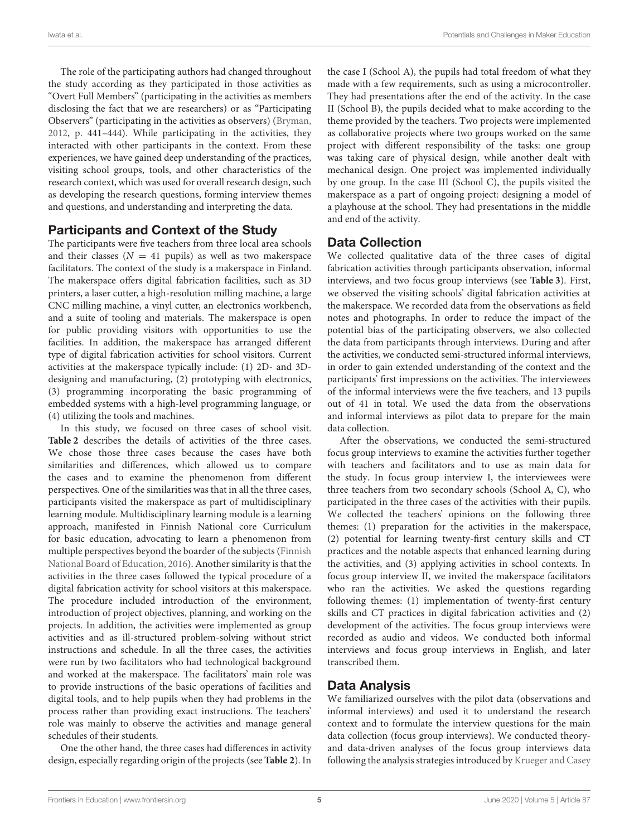The role of the participating authors had changed throughout the study according as they participated in those activities as "Overt Full Members" (participating in the activities as members disclosing the fact that we are researchers) or as "Participating Observers" (participating in the activities as observers) [\(Bryman,](#page-14-32) [2012,](#page-14-32) p. 441–444). While participating in the activities, they interacted with other participants in the context. From these experiences, we have gained deep understanding of the practices, visiting school groups, tools, and other characteristics of the research context, which was used for overall research design, such as developing the research questions, forming interview themes and questions, and understanding and interpreting the data.

### Participants and Context of the Study

The participants were five teachers from three local area schools and their classes ( $N = 41$  pupils) as well as two makerspace facilitators. The context of the study is a makerspace in Finland. The makerspace offers digital fabrication facilities, such as 3D printers, a laser cutter, a high-resolution milling machine, a large CNC milling machine, a vinyl cutter, an electronics workbench, and a suite of tooling and materials. The makerspace is open for public providing visitors with opportunities to use the facilities. In addition, the makerspace has arranged different type of digital fabrication activities for school visitors. Current activities at the makerspace typically include: (1) 2D- and 3Ddesigning and manufacturing, (2) prototyping with electronics, (3) programming incorporating the basic programming of embedded systems with a high-level programming language, or (4) utilizing the tools and machines.

In this study, we focused on three cases of school visit. **[Table 2](#page-5-0)** describes the details of activities of the three cases. We chose those three cases because the cases have both similarities and differences, which allowed us to compare the cases and to examine the phenomenon from different perspectives. One of the similarities was that in all the three cases, participants visited the makerspace as part of multidisciplinary learning module. Multidisciplinary learning module is a learning approach, manifested in Finnish National core Curriculum for basic education, advocating to learn a phenomenon from multiple perspectives beyond the boarder of the subjects (Finnish National Board of Education, [2016\)](#page-14-19). Another similarity is that the activities in the three cases followed the typical procedure of a digital fabrication activity for school visitors at this makerspace. The procedure included introduction of the environment, introduction of project objectives, planning, and working on the projects. In addition, the activities were implemented as group activities and as ill-structured problem-solving without strict instructions and schedule. In all the three cases, the activities were run by two facilitators who had technological background and worked at the makerspace. The facilitators' main role was to provide instructions of the basic operations of facilities and digital tools, and to help pupils when they had problems in the process rather than providing exact instructions. The teachers' role was mainly to observe the activities and manage general schedules of their students.

One the other hand, the three cases had differences in activity design, especially regarding origin of the projects (see **[Table 2](#page-5-0)**). In the case I (School A), the pupils had total freedom of what they made with a few requirements, such as using a microcontroller. They had presentations after the end of the activity. In the case II (School B), the pupils decided what to make according to the theme provided by the teachers. Two projects were implemented as collaborative projects where two groups worked on the same project with different responsibility of the tasks: one group was taking care of physical design, while another dealt with mechanical design. One project was implemented individually by one group. In the case III (School C), the pupils visited the makerspace as a part of ongoing project: designing a model of a playhouse at the school. They had presentations in the middle and end of the activity.

# Data Collection

We collected qualitative data of the three cases of digital fabrication activities through participants observation, informal interviews, and two focus group interviews (see **[Table 3](#page-5-1)**). First, we observed the visiting schools' digital fabrication activities at the makerspace. We recorded data from the observations as field notes and photographs. In order to reduce the impact of the potential bias of the participating observers, we also collected the data from participants through interviews. During and after the activities, we conducted semi-structured informal interviews, in order to gain extended understanding of the context and the participants' first impressions on the activities. The interviewees of the informal interviews were the five teachers, and 13 pupils out of 41 in total. We used the data from the observations and informal interviews as pilot data to prepare for the main data collection.

After the observations, we conducted the semi-structured focus group interviews to examine the activities further together with teachers and facilitators and to use as main data for the study. In focus group interview I, the interviewees were three teachers from two secondary schools (School A, C), who participated in the three cases of the activities with their pupils. We collected the teachers' opinions on the following three themes: (1) preparation for the activities in the makerspace, (2) potential for learning twenty-first century skills and CT practices and the notable aspects that enhanced learning during the activities, and (3) applying activities in school contexts. In focus group interview II, we invited the makerspace facilitators who ran the activities. We asked the questions regarding following themes: (1) implementation of twenty-first century skills and CT practices in digital fabrication activities and (2) development of the activities. The focus group interviews were recorded as audio and videos. We conducted both informal interviews and focus group interviews in English, and later transcribed them.

# Data Analysis

We familiarized ourselves with the pilot data (observations and informal interviews) and used it to understand the research context and to formulate the interview questions for the main data collection (focus group interviews). We conducted theoryand data-driven analyses of the focus group interviews data following the analysis strategies introduced by [Krueger and Casey](#page-14-34)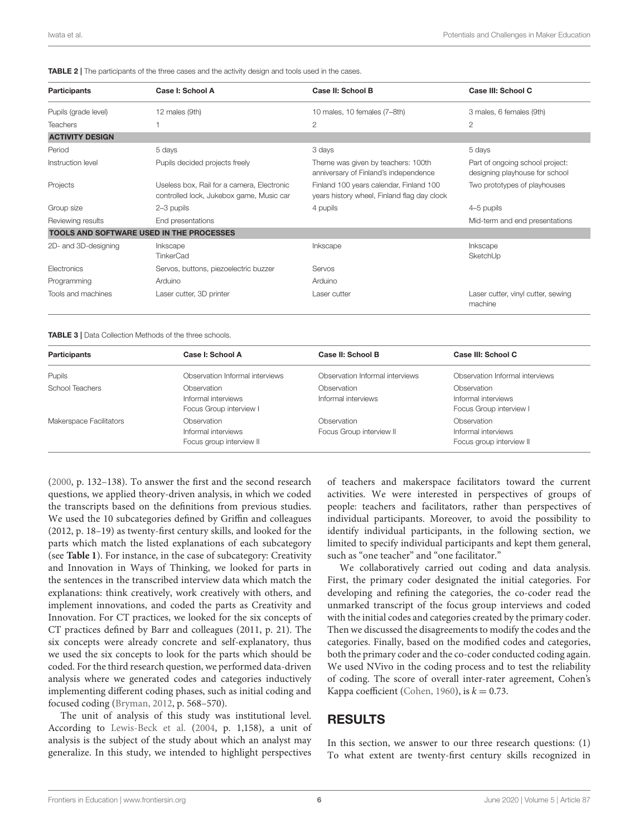<span id="page-5-0"></span>TABLE 2 | The participants of the three cases and the activity design and tools used in the cases.

| <b>Participants</b>    | Case I: School A                                                                       | Case II: School B                                                                      | Case III: School C                                                |
|------------------------|----------------------------------------------------------------------------------------|----------------------------------------------------------------------------------------|-------------------------------------------------------------------|
| Pupils (grade level)   | 12 males (9th)                                                                         | 10 males, 10 females (7-8th)                                                           | 3 males, 6 females (9th)                                          |
| <b>Teachers</b>        |                                                                                        | $\mathbf{2}$                                                                           | $\overline{2}$                                                    |
| <b>ACTIVITY DESIGN</b> |                                                                                        |                                                                                        |                                                                   |
| Period                 | 5 days                                                                                 | 3 days                                                                                 | 5 days                                                            |
| Instruction level      | Pupils decided projects freely                                                         | Theme was given by teachers: 100th<br>anniversary of Finland's independence            | Part of ongoing school project:<br>designing playhouse for school |
| Projects               | Useless box, Rail for a camera, Electronic<br>controlled lock, Jukebox game, Music car | Finland 100 years calendar, Finland 100<br>years history wheel, Finland flag day clock | Two prototypes of playhouses                                      |
| Group size             | 2-3 pupils                                                                             | 4 pupils                                                                               | 4-5 pupils                                                        |
| Reviewing results      | End presentations                                                                      |                                                                                        | Mid-term and end presentations                                    |
|                        | <b>TOOLS AND SOFTWARE USED IN THE PROCESSES</b>                                        |                                                                                        |                                                                   |
| 2D- and 3D-designing   | Inkscape<br><b>TinkerCad</b>                                                           | Inkscape                                                                               | Inkscape<br>SketchUp                                              |
| <b>Electronics</b>     | Servos, buttons, piezoelectric buzzer                                                  | Servos                                                                                 |                                                                   |
| Programming            | Arduino                                                                                | Arduino                                                                                |                                                                   |
| Tools and machines     | Laser cutter, 3D printer                                                               | Laser cutter                                                                           | Laser cutter, vinyl cutter, sewing<br>machine                     |

<span id="page-5-1"></span>TABLE 3 | Data Collection Methods of the three schools.

| <b>Participants</b>     | Case I: School A                                               | Case II: School B                       | Case III: School C                                             |
|-------------------------|----------------------------------------------------------------|-----------------------------------------|----------------------------------------------------------------|
| Pupils                  | Observation Informal interviews                                | Observation Informal interviews         | Observation Informal interviews                                |
| School Teachers         | Observation<br>Informal interviews<br>Focus Group interview I  | Observation<br>Informal interviews      | Observation<br>Informal interviews<br>Focus Group interview I  |
| Makerspace Facilitators | Observation<br>Informal interviews<br>Focus group interview II | Observation<br>Focus Group interview II | Observation<br>Informal interviews<br>Focus group interview II |

[\(2000,](#page-14-34) p. 132–138). To answer the first and the second research questions, we applied theory-driven analysis, in which we coded the transcripts based on the definitions from previous studies. We used the 10 subcategories defined by Griffin and colleagues (2012, p. 18–19) as twenty-first century skills, and looked for the parts which match the listed explanations of each subcategory (see **[Table 1](#page-2-0)**). For instance, in the case of subcategory: Creativity and Innovation in Ways of Thinking, we looked for parts in the sentences in the transcribed interview data which match the explanations: think creatively, work creatively with others, and implement innovations, and coded the parts as Creativity and Innovation. For CT practices, we looked for the six concepts of CT practices defined by Barr and colleagues (2011, p. 21). The six concepts were already concrete and self-explanatory, thus we used the six concepts to look for the parts which should be coded. For the third research question, we performed data-driven analysis where we generated codes and categories inductively implementing different coding phases, such as initial coding and focused coding [\(Bryman, 2012,](#page-14-32) p. 568–570).

The unit of analysis of this study was institutional level. According to [Lewis-Beck et al.](#page-14-35) [\(2004,](#page-14-35) p. 1,158), a unit of analysis is the subject of the study about which an analyst may generalize. In this study, we intended to highlight perspectives of teachers and makerspace facilitators toward the current activities. We were interested in perspectives of groups of people: teachers and facilitators, rather than perspectives of individual participants. Moreover, to avoid the possibility to identify individual participants, in the following section, we limited to specify individual participants and kept them general, such as "one teacher" and "one facilitator."

We collaboratively carried out coding and data analysis. First, the primary coder designated the initial categories. For developing and refining the categories, the co-coder read the unmarked transcript of the focus group interviews and coded with the initial codes and categories created by the primary coder. Then we discussed the disagreements to modify the codes and the categories. Finally, based on the modified codes and categories, both the primary coder and the co-coder conducted coding again. We used NVivo in the coding process and to test the reliability of coding. The score of overall inter-rater agreement, Cohen's Kappa coefficient [\(Cohen, 1960\)](#page-14-36), is  $k = 0.73$ .

# RESULTS

In this section, we answer to our three research questions: (1) To what extent are twenty-first century skills recognized in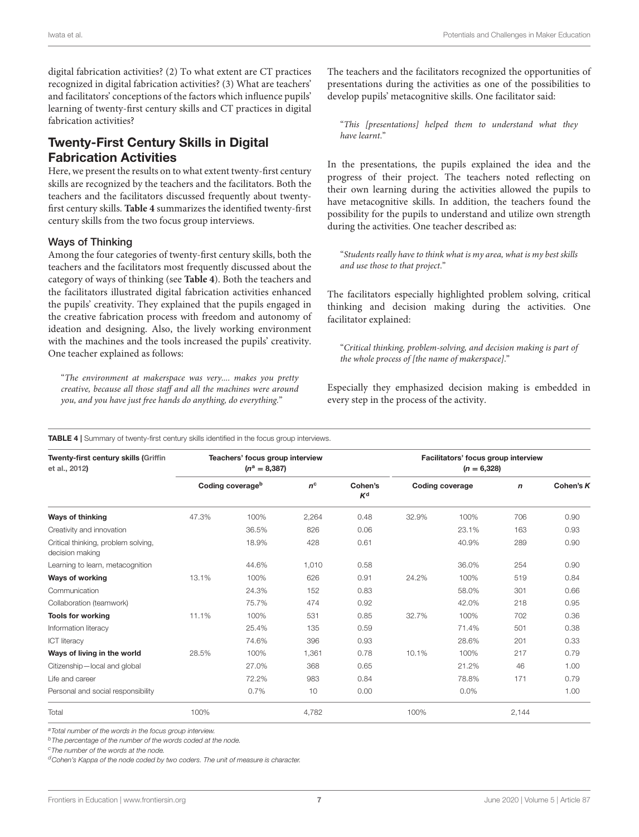digital fabrication activities? (2) To what extent are CT practices recognized in digital fabrication activities? (3) What are teachers' and facilitators' conceptions of the factors which influence pupils' learning of twenty-first century skills and CT practices in digital fabrication activities?

# Twenty-First Century Skills in Digital Fabrication Activities

Here, we present the results on to what extent twenty-first century skills are recognized by the teachers and the facilitators. Both the teachers and the facilitators discussed frequently about twentyfirst century skills. **[Table 4](#page-6-0)** summarizes the identified twenty-first century skills from the two focus group interviews.

### Ways of Thinking

Among the four categories of twenty-first century skills, both the teachers and the facilitators most frequently discussed about the category of ways of thinking (see **[Table 4](#page-6-0)**). Both the teachers and the facilitators illustrated digital fabrication activities enhanced the pupils' creativity. They explained that the pupils engaged in the creative fabrication process with freedom and autonomy of ideation and designing. Also, the lively working environment with the machines and the tools increased the pupils' creativity. One teacher explained as follows:

"The environment at makerspace was very.... makes you pretty creative, because all those staff and all the machines were around you, and you have just free hands do anything, do everything."

The teachers and the facilitators recognized the opportunities of presentations during the activities as one of the possibilities to develop pupils' metacognitive skills. One facilitator said:

"This [presentations] helped them to understand what they have learnt."

In the presentations, the pupils explained the idea and the progress of their project. The teachers noted reflecting on their own learning during the activities allowed the pupils to have metacognitive skills. In addition, the teachers found the possibility for the pupils to understand and utilize own strength during the activities. One teacher described as:

"Students really have to think what is my area, what is my best skills and use those to that project."

The facilitators especially highlighted problem solving, critical thinking and decision making during the activities. One facilitator explained:

"Critical thinking, problem-solving, and decision making is part of the whole process of [the name of makerspace]."

Especially they emphasized decision making is embedded in every step in the process of the activity.

#### <span id="page-6-0"></span>TABLE 4 | Summary of twenty-first century skills identified in the focus group interviews.

| Twenty-first century skills (Griffin<br>et al., 2012)  | Teachers' focus group interview<br>$(n^a = 8,387)$ |                              |             | Facilitators' focus group interview<br>$(n = 6,328)$ |       |                        |             |             |
|--------------------------------------------------------|----------------------------------------------------|------------------------------|-------------|------------------------------------------------------|-------|------------------------|-------------|-------------|
|                                                        |                                                    | Coding coverage <sup>b</sup> | $n^{\rm c}$ | Cohen's<br>$K^d$                                     |       | <b>Coding coverage</b> | $\mathbf n$ | Cohen's $K$ |
| <b>Ways of thinking</b>                                | 47.3%                                              | 100%                         | 2,264       | 0.48                                                 | 32.9% | 100%                   | 706         | 0.90        |
| Creativity and innovation                              |                                                    | 36.5%                        | 826         | 0.06                                                 |       | 23.1%                  | 163         | 0.93        |
| Critical thinking, problem solving,<br>decision making |                                                    | 18.9%                        | 428         | 0.61                                                 |       | 40.9%                  | 289         | 0.90        |
| Learning to learn, metacognition                       |                                                    | 44.6%                        | 1.010       | 0.58                                                 |       | 36.0%                  | 254         | 0.90        |
| Ways of working                                        | 13.1%                                              | 100%                         | 626         | 0.91                                                 | 24.2% | 100%                   | 519         | 0.84        |
| Communication                                          |                                                    | 24.3%                        | 152         | 0.83                                                 |       | 58.0%                  | 301         | 0.66        |
| Collaboration (teamwork)                               |                                                    | 75.7%                        | 474         | 0.92                                                 |       | 42.0%                  | 218         | 0.95        |
| <b>Tools for working</b>                               | 11.1%                                              | 100%                         | 531         | 0.85                                                 | 32.7% | 100%                   | 702         | 0.36        |
| Information literacy                                   |                                                    | 25.4%                        | 135         | 0.59                                                 |       | 71.4%                  | 501         | 0.38        |
| <b>ICT</b> literacy                                    |                                                    | 74.6%                        | 396         | 0.93                                                 |       | 28.6%                  | 201         | 0.33        |
| Ways of living in the world                            | 28.5%                                              | 100%                         | 1,361       | 0.78                                                 | 10.1% | 100%                   | 217         | 0.79        |
| Citizenship-local and global                           |                                                    | 27.0%                        | 368         | 0.65                                                 |       | 21.2%                  | 46          | 1.00        |
| Life and career                                        |                                                    | 72.2%                        | 983         | 0.84                                                 |       | 78.8%                  | 171         | 0.79        |
| Personal and social responsibility                     |                                                    | 0.7%                         | 10          | 0.00                                                 |       | 0.0%                   |             | 1.00        |
| Total                                                  | 100%                                               |                              | 4,782       |                                                      | 100%  |                        | 2,144       |             |

a Total number of the words in the focus group interview.

 $<sup>b</sup>$ The percentage of the number of the words coded at the node.</sup>

<sup>c</sup>The number of the words at the node.

 $\sigma$ <sup>d</sup>Cohen's Kappa of the node coded by two coders. The unit of measure is character.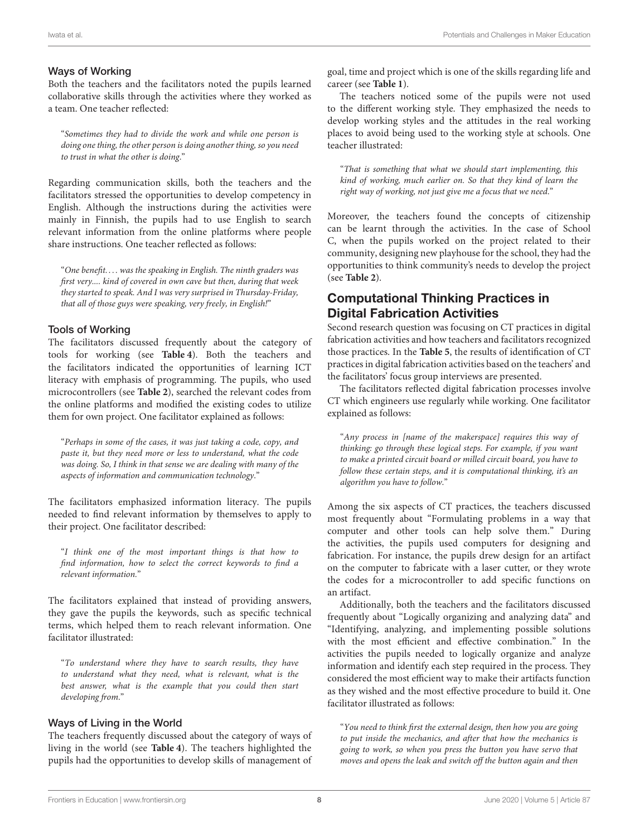### Ways of Working

Both the teachers and the facilitators noted the pupils learned collaborative skills through the activities where they worked as a team. One teacher reflected:

"Sometimes they had to divide the work and while one person is doing one thing, the other person is doing another thing, so you need to trust in what the other is doing."

Regarding communication skills, both the teachers and the facilitators stressed the opportunities to develop competency in English. Although the instructions during the activities were mainly in Finnish, the pupils had to use English to search relevant information from the online platforms where people share instructions. One teacher reflected as follows:

"One benefit. . . . was the speaking in English. The ninth graders was first very.... kind of covered in own cave but then, during that week they started to speak. And I was very surprised in Thursday-Friday, that all of those guys were speaking, very freely, in English!"

### Tools of Working

The facilitators discussed frequently about the category of tools for working (see **[Table 4](#page-6-0)**). Both the teachers and the facilitators indicated the opportunities of learning ICT literacy with emphasis of programming. The pupils, who used microcontrollers (see **[Table 2](#page-5-0)**), searched the relevant codes from the online platforms and modified the existing codes to utilize them for own project. One facilitator explained as follows:

"Perhaps in some of the cases, it was just taking a code, copy, and paste it, but they need more or less to understand, what the code was doing. So, I think in that sense we are dealing with many of the aspects of information and communication technology."

The facilitators emphasized information literacy. The pupils needed to find relevant information by themselves to apply to their project. One facilitator described:

"I think one of the most important things is that how to find information, how to select the correct keywords to find a relevant information."

The facilitators explained that instead of providing answers, they gave the pupils the keywords, such as specific technical terms, which helped them to reach relevant information. One facilitator illustrated:

"To understand where they have to search results, they have to understand what they need, what is relevant, what is the best answer, what is the example that you could then start developing from."

### Ways of Living in the World

The teachers frequently discussed about the category of ways of living in the world (see **[Table 4](#page-6-0)**). The teachers highlighted the pupils had the opportunities to develop skills of management of goal, time and project which is one of the skills regarding life and career (see **[Table 1](#page-2-0)**).

The teachers noticed some of the pupils were not used to the different working style. They emphasized the needs to develop working styles and the attitudes in the real working places to avoid being used to the working style at schools. One teacher illustrated:

"That is something that what we should start implementing, this kind of working, much earlier on. So that they kind of learn the right way of working, not just give me a focus that we need."

Moreover, the teachers found the concepts of citizenship can be learnt through the activities. In the case of School C, when the pupils worked on the project related to their community, designing new playhouse for the school, they had the opportunities to think community's needs to develop the project (see **[Table 2](#page-5-0)**).

# Computational Thinking Practices in Digital Fabrication Activities

Second research question was focusing on CT practices in digital fabrication activities and how teachers and facilitators recognized those practices. In the **[Table 5](#page-8-0)**, the results of identification of CT practices in digital fabrication activities based on the teachers' and the facilitators' focus group interviews are presented.

The facilitators reflected digital fabrication processes involve CT which engineers use regularly while working. One facilitator explained as follows:

"Any process in [name of the makerspace] requires this way of thinking: go through these logical steps. For example, if you want to make a printed circuit board or milled circuit board, you have to follow these certain steps, and it is computational thinking, it's an algorithm you have to follow."

Among the six aspects of CT practices, the teachers discussed most frequently about "Formulating problems in a way that computer and other tools can help solve them." During the activities, the pupils used computers for designing and fabrication. For instance, the pupils drew design for an artifact on the computer to fabricate with a laser cutter, or they wrote the codes for a microcontroller to add specific functions on an artifact.

Additionally, both the teachers and the facilitators discussed frequently about "Logically organizing and analyzing data" and "Identifying, analyzing, and implementing possible solutions with the most efficient and effective combination." In the activities the pupils needed to logically organize and analyze information and identify each step required in the process. They considered the most efficient way to make their artifacts function as they wished and the most effective procedure to build it. One facilitator illustrated as follows:

"You need to think first the external design, then how you are going to put inside the mechanics, and after that how the mechanics is going to work, so when you press the button you have servo that moves and opens the leak and switch off the button again and then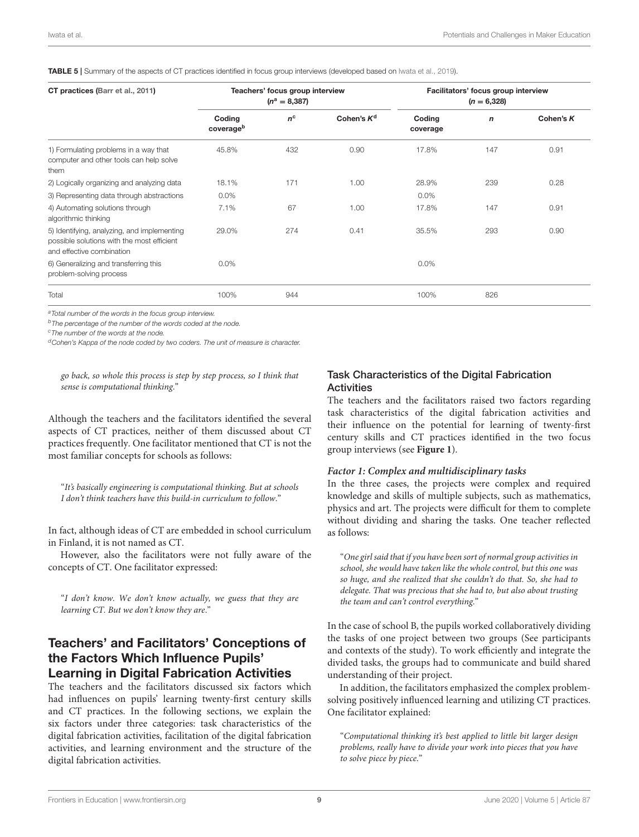<span id="page-8-0"></span>TABLE 5 | Summary of the aspects of CT practices identified in focus group interviews (developed based on [Iwata et al., 2019\)](#page-14-23).

| CT practices (Barr et al., 2011)                                                                                       | Teachers' focus group interview<br>$(n^a = 8,387)$ |             |               | Facilitators' focus group interview<br>$(n = 6,328)$ |             |           |
|------------------------------------------------------------------------------------------------------------------------|----------------------------------------------------|-------------|---------------|------------------------------------------------------|-------------|-----------|
|                                                                                                                        | Coding<br>coverageb                                | $n^{\rm c}$ | Cohen's $K^d$ | Coding<br>coverage                                   | $\mathbf n$ | Cohen's K |
| 1) Formulating problems in a way that<br>computer and other tools can help solve<br>them                               | 45.8%                                              | 432         | 0.90          | 17.8%                                                | 147         | 0.91      |
| 2) Logically organizing and analyzing data                                                                             | 18.1%                                              | 171         | 1.00          | 28.9%                                                | 239         | 0.28      |
| 3) Representing data through abstractions                                                                              | $0.0\%$                                            |             |               | $0.0\%$                                              |             |           |
| 4) Automating solutions through<br>algorithmic thinking                                                                | 7.1%                                               | 67          | 1.00          | 17.8%                                                | 147         | 0.91      |
| 5) Identifying, analyzing, and implementing<br>possible solutions with the most efficient<br>and effective combination | 29.0%                                              | 274         | 0.41          | 35.5%                                                | 293         | 0.90      |
| 6) Generalizing and transferring this<br>problem-solving process                                                       | 0.0%                                               |             |               | 0.0%                                                 |             |           |
| Total                                                                                                                  | 100%                                               | 944         |               | 100%                                                 | 826         |           |

a Total number of the words in the focus group interview.

 $<sup>b</sup>$ The percentage of the number of the words coded at the node.</sup>

<sup>c</sup>The number of the words at the node.

 $d$ Cohen's Kappa of the node coded by two coders. The unit of measure is character.

go back, so whole this process is step by step process, so I think that sense is computational thinking."

Although the teachers and the facilitators identified the several aspects of CT practices, neither of them discussed about CT practices frequently. One facilitator mentioned that CT is not the most familiar concepts for schools as follows:

"It's basically engineering is computational thinking. But at schools I don't think teachers have this build-in curriculum to follow."

In fact, although ideas of CT are embedded in school curriculum in Finland, it is not named as CT.

However, also the facilitators were not fully aware of the concepts of CT. One facilitator expressed:

"I don't know. We don't know actually, we guess that they are learning CT. But we don't know they are."

### Teachers' and Facilitators' Conceptions of the Factors Which Influence Pupils' Learning in Digital Fabrication Activities

The teachers and the facilitators discussed six factors which had influences on pupils' learning twenty-first century skills and CT practices. In the following sections, we explain the six factors under three categories: task characteristics of the digital fabrication activities, facilitation of the digital fabrication activities, and learning environment and the structure of the digital fabrication activities.

### Task Characteristics of the Digital Fabrication **Activities**

The teachers and the facilitators raised two factors regarding task characteristics of the digital fabrication activities and their influence on the potential for learning of twenty-first century skills and CT practices identified in the two focus group interviews (see **[Figure 1](#page-9-0)**).

#### **Factor 1: Complex and multidisciplinary tasks**

In the three cases, the projects were complex and required knowledge and skills of multiple subjects, such as mathematics, physics and art. The projects were difficult for them to complete without dividing and sharing the tasks. One teacher reflected as follows:

"One girl said that if you have been sort of normal group activities in school, she would have taken like the whole control, but this one was so huge, and she realized that she couldn't do that. So, she had to delegate. That was precious that she had to, but also about trusting the team and can't control everything."

In the case of school B, the pupils worked collaboratively dividing the tasks of one project between two groups (See participants and contexts of the study). To work efficiently and integrate the divided tasks, the groups had to communicate and build shared understanding of their project.

In addition, the facilitators emphasized the complex problemsolving positively influenced learning and utilizing CT practices. One facilitator explained:

"Computational thinking it's best applied to little bit larger design problems, really have to divide your work into pieces that you have to solve piece by piece."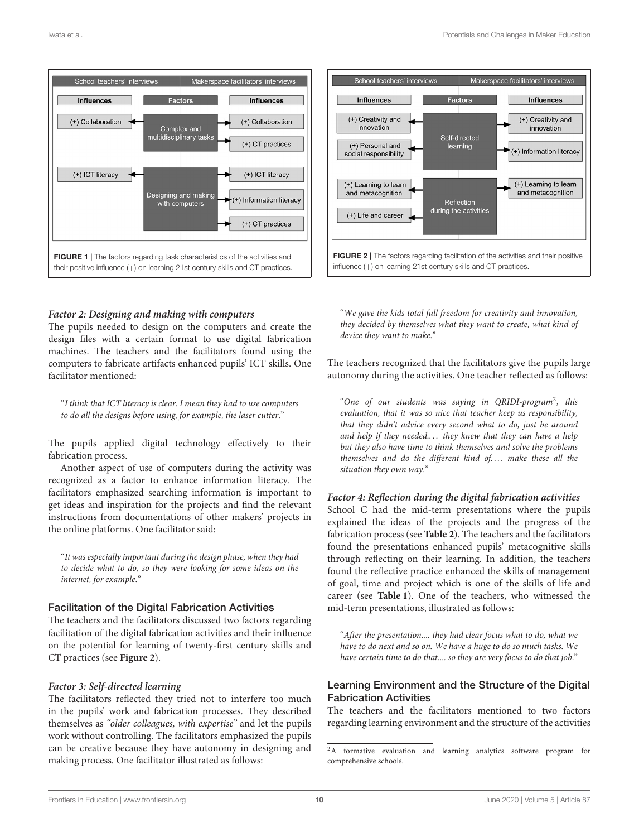



<span id="page-9-0"></span>**Factor 2: Designing and making with computers**

The pupils needed to design on the computers and create the design files with a certain format to use digital fabrication machines. The teachers and the facilitators found using the computers to fabricate artifacts enhanced pupils' ICT skills. One facilitator mentioned:

"I think that ICT literacy is clear. I mean they had to use computers to do all the designs before using, for example, the laser cutter."

The pupils applied digital technology effectively to their fabrication process.

Another aspect of use of computers during the activity was recognized as a factor to enhance information literacy. The facilitators emphasized searching information is important to get ideas and inspiration for the projects and find the relevant instructions from documentations of other makers' projects in the online platforms. One facilitator said:

"It was especially important during the design phase, when they had to decide what to do, so they were looking for some ideas on the internet, for example."

### Facilitation of the Digital Fabrication Activities

The teachers and the facilitators discussed two factors regarding facilitation of the digital fabrication activities and their influence on the potential for learning of twenty-first century skills and CT practices (see **[Figure 2](#page-9-1)**).

### **Factor 3: Self-directed learning**

The facilitators reflected they tried not to interfere too much in the pupils' work and fabrication processes. They described themselves as "older colleagues, with expertise" and let the pupils work without controlling. The facilitators emphasized the pupils can be creative because they have autonomy in designing and making process. One facilitator illustrated as follows:

<span id="page-9-1"></span>"We gave the kids total full freedom for creativity and innovation, they decided by themselves what they want to create, what kind of device they want to make."

The teachers recognized that the facilitators give the pupils large autonomy during the activities. One teacher reflected as follows:

"One of our students was saying in QRIDI-program<sup>[2](#page-9-2)</sup>, this evaluation, that it was so nice that teacher keep us responsibility, that they didn't advice every second what to do, just be around and help if they needed.... they knew that they can have a help but they also have time to think themselves and solve the problems themselves and do the different kind of.... make these all the situation they own way."

### **Factor 4: Reflection during the digital fabrication activities**

School C had the mid-term presentations where the pupils explained the ideas of the projects and the progress of the fabrication process (see **[Table 2](#page-5-0)**). The teachers and the facilitators found the presentations enhanced pupils' metacognitive skills through reflecting on their learning. In addition, the teachers found the reflective practice enhanced the skills of management of goal, time and project which is one of the skills of life and career (see **[Table 1](#page-2-0)**). One of the teachers, who witnessed the mid-term presentations, illustrated as follows:

"After the presentation.... they had clear focus what to do, what we have to do next and so on. We have a huge to do so much tasks. We have certain time to do that.... so they are very focus to do that job."

### Learning Environment and the Structure of the Digital Fabrication Activities

The teachers and the facilitators mentioned to two factors regarding learning environment and the structure of the activities

<span id="page-9-2"></span><sup>&</sup>lt;sup>2</sup>A formative evaluation and learning analytics software program for comprehensive schools.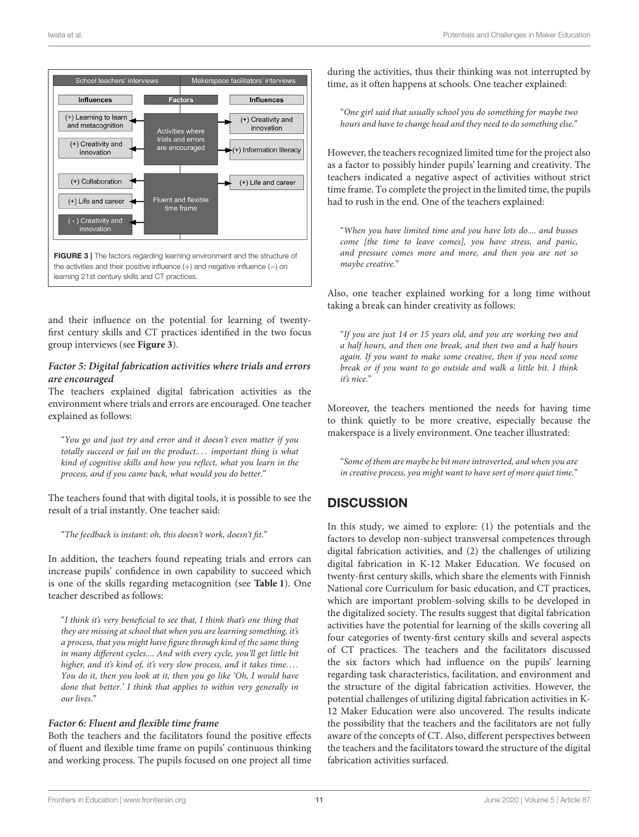

<span id="page-10-0"></span>and their influence on the potential for learning of twentyfirst century skills and CT practices identified in the two focus group interviews (see **[Figure 3](#page-10-0)**).

### **Factor 5: Digital fabrication activities where trials and errors are encouraged**

The teachers explained digital fabrication activities as the environment where trials and errors are encouraged. One teacher explained as follows:

"You go and just try and error and it doesn't even matter if you totally succeed or fail on the product.... important thing is what kind of cognitive skills and how you reflect, what you learn in the process, and if you came back, what would you do better."

The teachers found that with digital tools, it is possible to see the result of a trial instantly. One teacher said:

"The feedback is instant: oh, this doesn't work, doesn't fit."

In addition, the teachers found repeating trials and errors can increase pupils' confidence in own capability to succeed which is one of the skills regarding metacognition (see **[Table 1](#page-2-0)**). One teacher described as follows:

"I think it's very beneficial to see that, I think that's one thing that they are missing at school that when you are learning something, it's a process, that you might have figure through kind of the same thing in many different cycles.... And with every cycle, you'll get little bit higher, and it's kind of, it's very slow process, and it takes time.... You do it, then you look at it, then you go like 'Oh, I would have done that better.' I think that applies to within very generally in our lives."

### **Factor 6: Fluent and flexible time frame**

Both the teachers and the facilitators found the positive effects of fluent and flexible time frame on pupils' continuous thinking and working process. The pupils focused on one project all time during the activities, thus their thinking was not interrupted by time, as it often happens at schools. One teacher explained:

"One girl said that usually school you do something for maybe two hours and have to change head and they need to do something else."

However, the teachers recognized limited time for the project also as a factor to possibly hinder pupils' learning and creativity. The teachers indicated a negative aspect of activities without strict time frame. To complete the project in the limited time, the pupils had to rush in the end. One of the teachers explained:

"When you have limited time and you have lots do.... and busses come [the time to leave comes], you have stress, and panic, and pressure comes more and more, and then you are not so maybe creative."

Also, one teacher explained working for a long time without taking a break can hinder creativity as follows:

"If you are just 14 or 15 years old, and you are working two and a half hours, and then one break, and then two and a half hours again. If you want to make some creative, then if you need some break or if you want to go outside and walk a little bit. I think it's nice."

Moreover, the teachers mentioned the needs for having time to think quietly to be more creative, especially because the makerspace is a lively environment. One teacher illustrated:

"Some of them are maybe be bit more introverted, and when you are in creative process, you might want to have sort of more quiet time."

# **DISCUSSION**

In this study, we aimed to explore: (1) the potentials and the factors to develop non-subject transversal competences through digital fabrication activities, and (2) the challenges of utilizing digital fabrication in K-12 Maker Education. We focused on twenty-first century skills, which share the elements with Finnish National core Curriculum for basic education, and CT practices, which are important problem-solving skills to be developed in the digitalized society. The results suggest that digital fabrication activities have the potential for learning of the skills covering all four categories of twenty-first century skills and several aspects of CT practices. The teachers and the facilitators discussed the six factors which had influence on the pupils' learning regarding task characteristics, facilitation, and environment and the structure of the digital fabrication activities. However, the potential challenges of utilizing digital fabrication activities in K-12 Maker Education were also uncovered. The results indicate the possibility that the teachers and the facilitators are not fully aware of the concepts of CT. Also, different perspectives between the teachers and the facilitators toward the structure of the digital fabrication activities surfaced.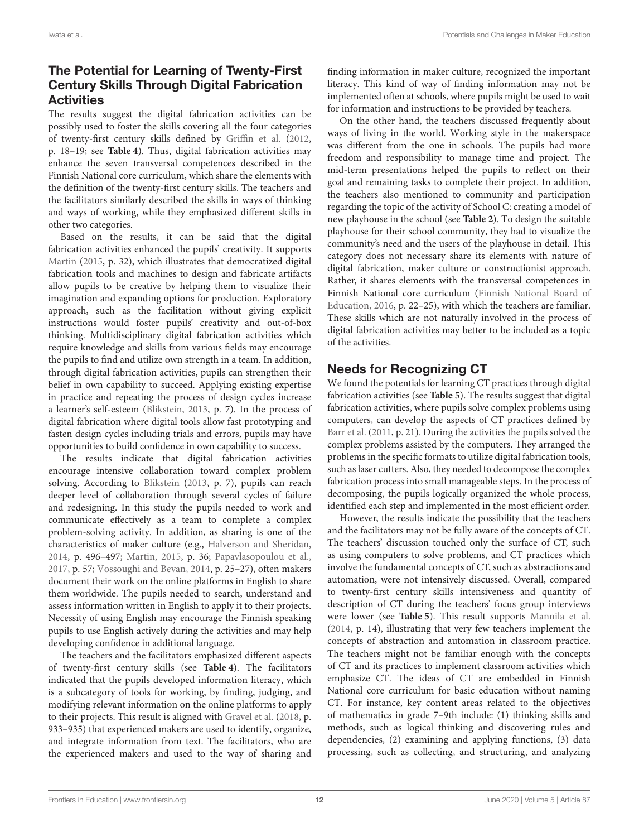# The Potential for Learning of Twenty-First Century Skills Through Digital Fabrication **Activities**

The results suggest the digital fabrication activities can be possibly used to foster the skills covering all the four categories of twenty-first century skills defined by [Griffin et al.](#page-14-21) [\(2012,](#page-14-21) p. 18–19; see **[Table 4](#page-6-0)**). Thus, digital fabrication activities may enhance the seven transversal competences described in the Finnish National core curriculum, which share the elements with the definition of the twenty-first century skills. The teachers and the facilitators similarly described the skills in ways of thinking and ways of working, while they emphasized different skills in other two categories.

Based on the results, it can be said that the digital fabrication activities enhanced the pupils' creativity. It supports [Martin](#page-14-0) [\(2015,](#page-14-0) p. 32), which illustrates that democratized digital fabrication tools and machines to design and fabricate artifacts allow pupils to be creative by helping them to visualize their imagination and expanding options for production. Exploratory approach, such as the facilitation without giving explicit instructions would foster pupils' creativity and out-of-box thinking. Multidisciplinary digital fabrication activities which require knowledge and skills from various fields may encourage the pupils to find and utilize own strength in a team. In addition, through digital fabrication activities, pupils can strengthen their belief in own capability to succeed. Applying existing expertise in practice and repeating the process of design cycles increase a learner's self-esteem [\(Blikstein, 2013,](#page-13-0) p. 7). In the process of digital fabrication where digital tools allow fast prototyping and fasten design cycles including trials and errors, pupils may have opportunities to build confidence in own capability to success.

The results indicate that digital fabrication activities encourage intensive collaboration toward complex problem solving. According to [Blikstein](#page-13-0) [\(2013,](#page-13-0) p. 7), pupils can reach deeper level of collaboration through several cycles of failure and redesigning. In this study the pupils needed to work and communicate effectively as a team to complete a complex problem-solving activity. In addition, as sharing is one of the characteristics of maker culture (e.g., [Halverson and Sheridan,](#page-14-3) [2014,](#page-14-3) p. 496–497; [Martin, 2015,](#page-14-0) p. 36; [Papavlasopoulou et al.,](#page-14-6) [2017,](#page-14-6) p. 57; [Vossoughi and Bevan, 2014,](#page-14-8) p. 25–27), often makers document their work on the online platforms in English to share them worldwide. The pupils needed to search, understand and assess information written in English to apply it to their projects. Necessity of using English may encourage the Finnish speaking pupils to use English actively during the activities and may help developing confidence in additional language.

The teachers and the facilitators emphasized different aspects of twenty-first century skills (see **[Table 4](#page-6-0)**). The facilitators indicated that the pupils developed information literacy, which is a subcategory of tools for working, by finding, judging, and modifying relevant information on the online platforms to apply to their projects. This result is aligned with [Gravel et al.](#page-14-37) [\(2018,](#page-14-37) p. 933–935) that experienced makers are used to identify, organize, and integrate information from text. The facilitators, who are the experienced makers and used to the way of sharing and finding information in maker culture, recognized the important literacy. This kind of way of finding information may not be implemented often at schools, where pupils might be used to wait for information and instructions to be provided by teachers.

On the other hand, the teachers discussed frequently about ways of living in the world. Working style in the makerspace was different from the one in schools. The pupils had more freedom and responsibility to manage time and project. The mid-term presentations helped the pupils to reflect on their goal and remaining tasks to complete their project. In addition, the teachers also mentioned to community and participation regarding the topic of the activity of School C: creating a model of new playhouse in the school (see **[Table 2](#page-5-0)**). To design the suitable playhouse for their school community, they had to visualize the community's need and the users of the playhouse in detail. This category does not necessary share its elements with nature of digital fabrication, maker culture or constructionist approach. Rather, it shares elements with the transversal competences in Finnish National core curriculum (Finnish National Board of Education, [2016,](#page-14-19) p. 22–25), with which the teachers are familiar. These skills which are not naturally involved in the process of digital fabrication activities may better to be included as a topic of the activities.

# Needs for Recognizing CT

We found the potentials for learning CT practices through digital fabrication activities (see **[Table 5](#page-8-0)**). The results suggest that digital fabrication activities, where pupils solve complex problems using computers, can develop the aspects of CT practices defined by [Barr et al.](#page-13-5) [\(2011,](#page-13-5) p. 21). During the activities the pupils solved the complex problems assisted by the computers. They arranged the problems in the specific formats to utilize digital fabrication tools, such as laser cutters. Also, they needed to decompose the complex fabrication process into small manageable steps. In the process of decomposing, the pupils logically organized the whole process, identified each step and implemented in the most efficient order.

However, the results indicate the possibility that the teachers and the facilitators may not be fully aware of the concepts of CT. The teachers' discussion touched only the surface of CT, such as using computers to solve problems, and CT practices which involve the fundamental concepts of CT, such as abstractions and automation, were not intensively discussed. Overall, compared to twenty-first century skills intensiveness and quantity of description of CT during the teachers' focus group interviews were lower (see **[Table 5](#page-8-0)**). This result supports [Mannila et al.](#page-14-29) [\(2014,](#page-14-29) p. 14), illustrating that very few teachers implement the concepts of abstraction and automation in classroom practice. The teachers might not be familiar enough with the concepts of CT and its practices to implement classroom activities which emphasize CT. The ideas of CT are embedded in Finnish National core curriculum for basic education without naming CT. For instance, key content areas related to the objectives of mathematics in grade 7–9th include: (1) thinking skills and methods, such as logical thinking and discovering rules and dependencies, (2) examining and applying functions, (3) data processing, such as collecting, and structuring, and analyzing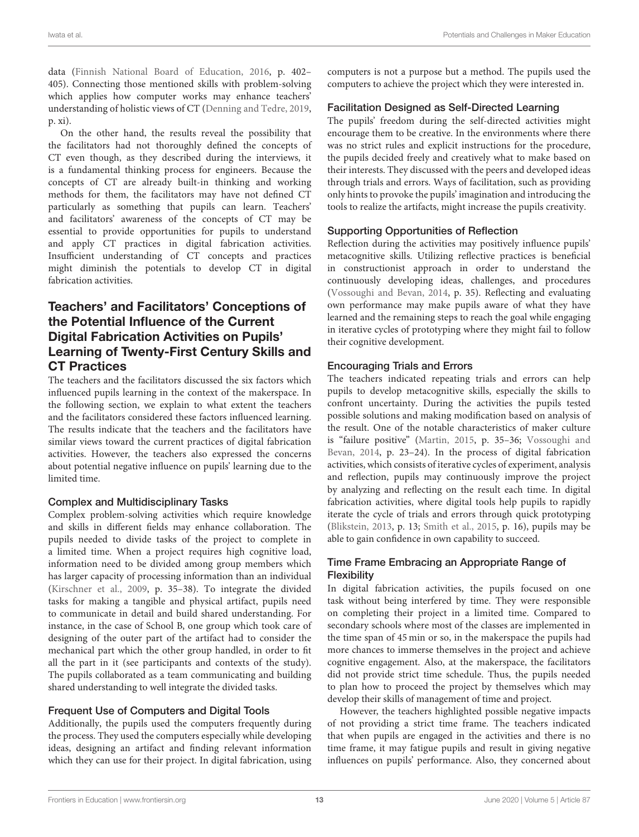data [\(Finnish National Board of Education, 2016,](#page-14-19) p. 402– 405). Connecting those mentioned skills with problem-solving which applies how computer works may enhance teachers' understanding of holistic views of CT [\(Denning and Tedre, 2019,](#page-14-27) p. xi).

On the other hand, the results reveal the possibility that the facilitators had not thoroughly defined the concepts of CT even though, as they described during the interviews, it is a fundamental thinking process for engineers. Because the concepts of CT are already built-in thinking and working methods for them, the facilitators may have not defined CT particularly as something that pupils can learn. Teachers' and facilitators' awareness of the concepts of CT may be essential to provide opportunities for pupils to understand and apply CT practices in digital fabrication activities. Insufficient understanding of CT concepts and practices might diminish the potentials to develop CT in digital fabrication activities.

# Teachers' and Facilitators' Conceptions of the Potential Influence of the Current Digital Fabrication Activities on Pupils' Learning of Twenty-First Century Skills and CT Practices

The teachers and the facilitators discussed the six factors which influenced pupils learning in the context of the makerspace. In the following section, we explain to what extent the teachers and the facilitators considered these factors influenced learning. The results indicate that the teachers and the facilitators have similar views toward the current practices of digital fabrication activities. However, the teachers also expressed the concerns about potential negative influence on pupils' learning due to the limited time.

### Complex and Multidisciplinary Tasks

Complex problem-solving activities which require knowledge and skills in different fields may enhance collaboration. The pupils needed to divide tasks of the project to complete in a limited time. When a project requires high cognitive load, information need to be divided among group members which has larger capacity of processing information than an individual [\(Kirschner et al., 2009,](#page-14-38) p. 35–38). To integrate the divided tasks for making a tangible and physical artifact, pupils need to communicate in detail and build shared understanding. For instance, in the case of School B, one group which took care of designing of the outer part of the artifact had to consider the mechanical part which the other group handled, in order to fit all the part in it (see participants and contexts of the study). The pupils collaborated as a team communicating and building shared understanding to well integrate the divided tasks.

### Frequent Use of Computers and Digital Tools

Additionally, the pupils used the computers frequently during the process. They used the computers especially while developing ideas, designing an artifact and finding relevant information which they can use for their project. In digital fabrication, using computers is not a purpose but a method. The pupils used the computers to achieve the project which they were interested in.

### Facilitation Designed as Self-Directed Learning

The pupils' freedom during the self-directed activities might encourage them to be creative. In the environments where there was no strict rules and explicit instructions for the procedure, the pupils decided freely and creatively what to make based on their interests. They discussed with the peers and developed ideas through trials and errors. Ways of facilitation, such as providing only hints to provoke the pupils' imagination and introducing the tools to realize the artifacts, might increase the pupils creativity.

### Supporting Opportunities of Reflection

Reflection during the activities may positively influence pupils' metacognitive skills. Utilizing reflective practices is beneficial in constructionist approach in order to understand the continuously developing ideas, challenges, and procedures [\(Vossoughi and Bevan, 2014,](#page-14-8) p. 35). Reflecting and evaluating own performance may make pupils aware of what they have learned and the remaining steps to reach the goal while engaging in iterative cycles of prototyping where they might fail to follow their cognitive development.

### Encouraging Trials and Errors

The teachers indicated repeating trials and errors can help pupils to develop metacognitive skills, especially the skills to confront uncertainty. During the activities the pupils tested possible solutions and making modification based on analysis of the result. One of the notable characteristics of maker culture is "failure positive" [\(Martin, 2015,](#page-14-0) p. 35–36; Vossoughi and Bevan, [2014,](#page-14-8) p. 23–24). In the process of digital fabrication activities, which consists of iterative cycles of experiment, analysis and reflection, pupils may continuously improve the project by analyzing and reflecting on the result each time. In digital fabrication activities, where digital tools help pupils to rapidly iterate the cycle of trials and errors through quick prototyping [\(Blikstein, 2013,](#page-13-0) p. 13; [Smith et al., 2015,](#page-14-11) p. 16), pupils may be able to gain confidence in own capability to succeed.

### Time Frame Embracing an Appropriate Range of **Flexibility**

In digital fabrication activities, the pupils focused on one task without being interfered by time. They were responsible on completing their project in a limited time. Compared to secondary schools where most of the classes are implemented in the time span of 45 min or so, in the makerspace the pupils had more chances to immerse themselves in the project and achieve cognitive engagement. Also, at the makerspace, the facilitators did not provide strict time schedule. Thus, the pupils needed to plan how to proceed the project by themselves which may develop their skills of management of time and project.

However, the teachers highlighted possible negative impacts of not providing a strict time frame. The teachers indicated that when pupils are engaged in the activities and there is no time frame, it may fatigue pupils and result in giving negative influences on pupils' performance. Also, they concerned about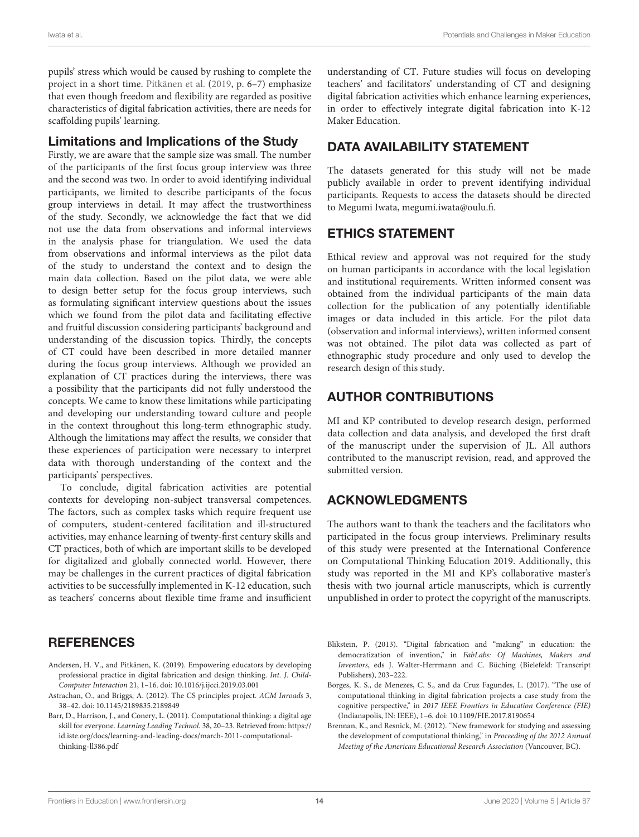pupils' stress which would be caused by rushing to complete the project in a short time. [Pitkänen et al.](#page-14-13) [\(2019,](#page-14-13) p. 6–7) emphasize that even though freedom and flexibility are regarded as positive characteristics of digital fabrication activities, there are needs for scaffolding pupils' learning.

### Limitations and Implications of the Study

Firstly, we are aware that the sample size was small. The number of the participants of the first focus group interview was three and the second was two. In order to avoid identifying individual participants, we limited to describe participants of the focus group interviews in detail. It may affect the trustworthiness of the study. Secondly, we acknowledge the fact that we did not use the data from observations and informal interviews in the analysis phase for triangulation. We used the data from observations and informal interviews as the pilot data of the study to understand the context and to design the main data collection. Based on the pilot data, we were able to design better setup for the focus group interviews, such as formulating significant interview questions about the issues which we found from the pilot data and facilitating effective and fruitful discussion considering participants' background and understanding of the discussion topics. Thirdly, the concepts of CT could have been described in more detailed manner during the focus group interviews. Although we provided an explanation of CT practices during the interviews, there was a possibility that the participants did not fully understood the concepts. We came to know these limitations while participating and developing our understanding toward culture and people in the context throughout this long-term ethnographic study. Although the limitations may affect the results, we consider that these experiences of participation were necessary to interpret data with thorough understanding of the context and the participants' perspectives.

To conclude, digital fabrication activities are potential contexts for developing non-subject transversal competences. The factors, such as complex tasks which require frequent use of computers, student-centered facilitation and ill-structured activities, may enhance learning of twenty-first century skills and CT practices, both of which are important skills to be developed for digitalized and globally connected world. However, there may be challenges in the current practices of digital fabrication activities to be successfully implemented in K-12 education, such as teachers' concerns about flexible time frame and insufficient

# **REFERENCES**

- <span id="page-13-1"></span>Andersen, H. V., and Pitkänen, K. (2019). Empowering educators by developing professional practice in digital fabrication and design thinking. Int. J. Child-Computer Interaction 21, 1–16. doi: [10.1016/j.ijcci.2019.03.001](https://doi.org/10.1016/j.ijcci.2019.03.001)
- <span id="page-13-4"></span>Astrachan, O., and Briggs, A. (2012). The CS principles project. ACM Inroads 3, 38–42. doi: [10.1145/2189835.2189849](https://doi.org/10.1145/2189835.2189849)
- <span id="page-13-5"></span>Barr, D., Harrison, J., and Conery, L. (2011). Computational thinking: a digital age skill for everyone. Learning Leading Technol. 38, 20–23. Retrieved from: [https://](https://id.iste.org/docs/learning-and-leading-docs/march-2011-computational-thinking-ll386.pdf) [id.iste.org/docs/learning-and-leading-docs/march-2011-computational](https://id.iste.org/docs/learning-and-leading-docs/march-2011-computational-thinking-ll386.pdf)[thinking-ll386.pdf](https://id.iste.org/docs/learning-and-leading-docs/march-2011-computational-thinking-ll386.pdf)

understanding of CT. Future studies will focus on developing teachers' and facilitators' understanding of CT and designing digital fabrication activities which enhance learning experiences, in order to effectively integrate digital fabrication into K-12 Maker Education.

# DATA AVAILABILITY STATEMENT

The datasets generated for this study will not be made publicly available in order to prevent identifying individual participants. Requests to access the datasets should be directed to Megumi Iwata, [megumi.iwata@oulu.fi.](mailto:megumi.iwata@oulu.fi)

# ETHICS STATEMENT

Ethical review and approval was not required for the study on human participants in accordance with the local legislation and institutional requirements. Written informed consent was obtained from the individual participants of the main data collection for the publication of any potentially identifiable images or data included in this article. For the pilot data (observation and informal interviews), written informed consent was not obtained. The pilot data was collected as part of ethnographic study procedure and only used to develop the research design of this study.

# AUTHOR CONTRIBUTIONS

MI and KP contributed to develop research design, performed data collection and data analysis, and developed the first draft of the manuscript under the supervision of JL. All authors contributed to the manuscript revision, read, and approved the submitted version.

# ACKNOWLEDGMENTS

The authors want to thank the teachers and the facilitators who participated in the focus group interviews. Preliminary results of this study were presented at the International Conference on Computational Thinking Education 2019. Additionally, this study was reported in the MI and KP's collaborative master's thesis with two journal article manuscripts, which is currently unpublished in order to protect the copyright of the manuscripts.

- <span id="page-13-0"></span>Blikstein, P. (2013). "Digital fabrication and "making" in education: the democratization of invention," in FabLabs: Of Machines, Makers and Inventors, eds J. Walter-Herrmann and C. Büching (Bielefeld: Transcript Publishers), 203–222.
- <span id="page-13-2"></span>Borges, K. S., de Menezes, C. S., and da Cruz Fagundes, L. (2017). "The use of computational thinking in digital fabrication projects a case study from the cognitive perspective," in 2017 IEEE Frontiers in Education Conference (FIE) (Indianapolis, IN: IEEE), 1–6. doi: [10.1109/FIE.2017.8190654](https://doi.org/10.1109/FIE.2017.8190654)
- <span id="page-13-3"></span>Brennan, K., and Resnick, M. (2012). "New framework for studying and assessing the development of computational thinking," in Proceeding of the 2012 Annual Meeting of the American Educational Research Association (Vancouver, BC).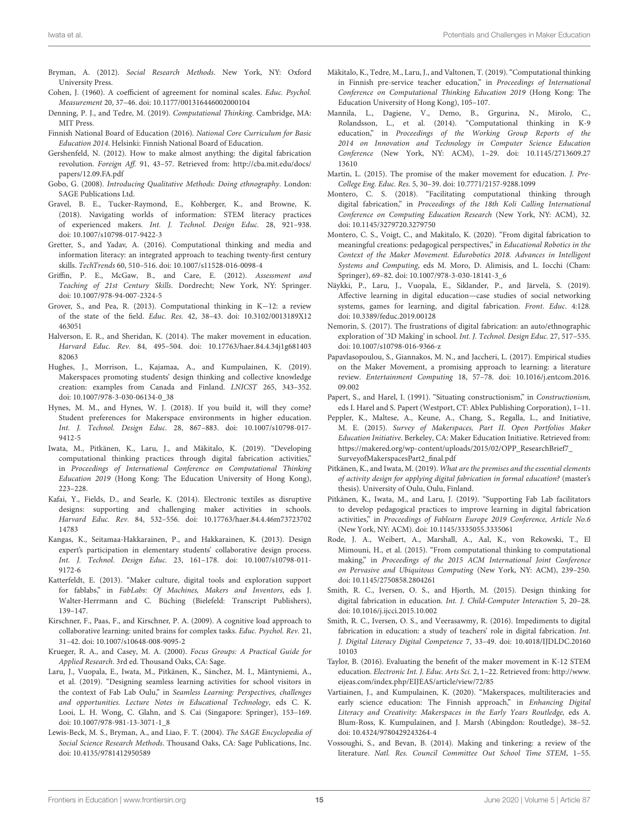- <span id="page-14-32"></span>Bryman, A. (2012). Social Research Methods. New York, NY: Oxford University Press.
- <span id="page-14-36"></span>Cohen, J. (1960). A coefficient of agreement for nominal scales. Educ. Psychol. Measurement 20, 37–46. doi: [10.1177/001316446002000104](https://doi.org/10.1177/001316446002000104)
- <span id="page-14-27"></span>Denning, P. J., and Tedre, M. (2019). Computational Thinking. Cambridge, MA: MIT Press.
- <span id="page-14-19"></span>Finnish National Board of Education (2016). National Core Curriculum for Basic Education 2014. Helsinki: Finnish National Board of Education.
- <span id="page-14-2"></span>Gershenfeld, N. (2012). How to make almost anything: the digital fabrication revolution. Foreign Aff. 91, 43–57. Retrieved from: [http://cba.mit.edu/docs/](http://cba.mit.edu/docs/papers/12.09.FA.pdf) [papers/12.09.FA.pdf](http://cba.mit.edu/docs/papers/12.09.FA.pdf)
- <span id="page-14-33"></span>Gobo, G. (2008). Introducing Qualitative Methods: Doing ethnography. London: SAGE Publications Ltd.
- <span id="page-14-37"></span>Gravel, B. E., Tucker-Raymond, E., Kohberger, K., and Browne, K. (2018). Navigating worlds of information: STEM literacy practices of experienced makers. Int. J. Technol. Design Educ. 28, 921–938. doi: [10.1007/s10798-017-9422-3](https://doi.org/10.1007/s10798-017-9422-3)
- <span id="page-14-28"></span>Gretter, S., and Yadav, A. (2016). Computational thinking and media and information literacy: an integrated approach to teaching twenty-first century skills. TechTrends 60, 510–516. doi: [10.1007/s11528-016-0098-4](https://doi.org/10.1007/s11528-016-0098-4)
- <span id="page-14-21"></span>Griffin, P. E., McGaw, B., and Care, E. (2012). Assessment and Teaching of 21st Century Skills. Dordrecht; New York, NY: Springer. doi: [10.1007/978-94-007-2324-5](https://doi.org/10.1007/978-94-007-2324-5)
- <span id="page-14-31"></span>Grover, S., and Pea, R. (2013). Computational thinking in K−12: a review of the state of the field. Educ. Res. [42, 38–43. doi: 10.3102/0013189X12](https://doi.org/10.3102/0013189X12463051) 463051
- <span id="page-14-3"></span>Halverson, E. R., and Sheridan, K. (2014). The maker movement in education. Harvard Educ. Rev. [84, 495–504. doi: 10.17763/haer.84.4.34j1g681403](https://doi.org/10.17763/haer.84.4.34j1g68140382063) 82063
- <span id="page-14-16"></span>Hughes, J., Morrison, L., Kajamaa, A., and Kumpulainen, K. (2019). Makerspaces promoting students' design thinking and collective knowledge creation: examples from Canada and Finland. LNICST 265, 343–352. doi: [10.1007/978-3-030-06134-0\\_38](https://doi.org/10.1007/978-3-030-06134-0_38)
- <span id="page-14-12"></span>Hynes, M. M., and Hynes, W. J. (2018). If you build it, will they come? Student preferences for Makerspace environments in higher education. Int. J. Technol. Design Educ. [28, 867–883. doi: 10.1007/s10798-017-](https://doi.org/10.1007/s10798-017-9412-5) 9412-5
- <span id="page-14-23"></span>Iwata, M., Pitkänen, K., Laru, J., and Mäkitalo, K. (2019). "Developing computational thinking practices through digital fabrication activities," in Proceedings of International Conference on Computational Thinking Education 2019 (Hong Kong: The Education University of Hong Kong), 223–228.
- <span id="page-14-4"></span>Kafai, Y., Fields, D., and Searle, K. (2014). Electronic textiles as disruptive designs: supporting and challenging maker activities in schools. Harvard Educ. Rev. [84, 532–556. doi: 10.17763/haer.84.4.46m73723702](https://doi.org/10.17763/haer.84.4.46m7372370214783) 14783
- <span id="page-14-14"></span>Kangas, K., Seitamaa-Hakkarainen, P., and Hakkarainen, K. (2013). Design expert's participation in elementary students' collaborative design process. Int. J. Technol. Design Educ. [23, 161–178. doi: 10.1007/s10798-011-](https://doi.org/10.1007/s10798-011-9172-6) 9172-6
- <span id="page-14-1"></span>Katterfeldt, E. (2013). "Maker culture, digital tools and exploration support for fablabs," in FabLabs: Of Machines, Makers and Inventors, eds J. Walter-Herrmann and C. Büching (Bielefeld: Transcript Publishers), 139–147.
- <span id="page-14-38"></span>Kirschner, F., Paas, F., and Kirschner, P. A. (2009). A cognitive load approach to collaborative learning: united brains for complex tasks. Educ. Psychol. Rev. 21, 31–42. doi: [10.1007/s10648-008-9095-2](https://doi.org/10.1007/s10648-008-9095-2)
- <span id="page-14-34"></span>Krueger, R. A., and Casey, M. A. (2000). Focus Groups: A Practical Guide for Applied Research. 3rd ed. Thousand Oaks, CA: Sage.
- <span id="page-14-24"></span>Laru, J., Vuopala, E., Iwata, M., Pitkänen, K., Sánchez, M. I., Mäntyniemi, A., et al. (2019). "Designing seamless learning activities for school visitors in the context of Fab Lab Oulu," in Seamless Learning: Perspectives, challenges and opportunities. Lecture Notes in Educational Technology, eds C. K. Looi, L. H. Wong, C. Glahn, and S. Cai (Singapore: Springer), 153–169. doi: [10.1007/978-981-13-3071-1\\_8](https://doi.org/10.1007/978-981-13-3071-1_8)
- <span id="page-14-35"></span>Lewis-Beck, M. S., Bryman, A., and Liao, F. T. (2004). The SAGE Encyclopedia of Social Science Research Methods. Thousand Oaks, CA: Sage Publications, Inc. doi: [10.4135/9781412950589](https://doi.org/10.4135/9781412950589)
- <span id="page-14-30"></span>Mäkitalo, K., Tedre, M., Laru, J., and Valtonen, T. (2019). "Computational thinking in Finnish pre-service teacher education," in Proceedings of International Conference on Computational Thinking Education 2019 (Hong Kong: The Education University of Hong Kong), 105–107.
- <span id="page-14-29"></span>Mannila, L., Dagiene, V., Demo, B., Grgurina, N., Mirolo, C., Rolandsson, L., et al. (2014). "Computational thinking in K-9 education," in Proceedings of the Working Group Reports of the 2014 on Innovation and Technology in Computer Science Education Conference [\(New York, NY: ACM\), 1–29. doi: 10.1145/2713609.27](https://doi.org/10.1145/2713609.2713610) 13610
- <span id="page-14-0"></span>Martin, L. (2015). The promise of the maker movement for education. J. Pre-College Eng. Educ. Res. 5, 30–39. doi: [10.7771/2157-9288.1099](https://doi.org/10.7771/2157-9288.1099)
- <span id="page-14-26"></span>Montero, C. S. (2018). "Facilitating computational thinking through digital fabrication," in Proceedings of the 18th Koli Calling International Conference on Computing Education Research (New York, NY: ACM), 32. doi: [10.1145/3279720.3279750](https://doi.org/10.1145/3279720.3279750)
- <span id="page-14-15"></span>Montero, C. S., Voigt, C., and Makitalo, K. (2020). "From digital fabrication to meaningful creations: pedagogical perspectives," in Educational Robotics in the Context of the Maker Movement. Edurobotics 2018. Advances in Intelligent Systems and Computing, eds M. Moro, D. Alimisis, and L. Iocchi (Cham: Springer), 69–82. doi: [10.1007/978-3-030-18141-3\\_6](https://doi.org/10.1007/978-3-030-18141-3_6)
- <span id="page-14-5"></span>Näykki, P., Laru, J., Vuopala, E., Siklander, P., and Järvelä, S. (2019). Affective learning in digital education—case studies of social networking systems, games for learning, and digital fabrication. Front. Educ. 4:128. doi: [10.3389/feduc.2019.00128](https://doi.org/10.3389/feduc.2019.00128)
- <span id="page-14-17"></span>Nemorin, S. (2017). The frustrations of digital fabrication: an auto/ethnographic exploration of '3D Making' in school. Int. J. Technol. Design Educ. 27, 517–535. doi: [10.1007/s10798-016-9366-z](https://doi.org/10.1007/s10798-016-9366-z)
- <span id="page-14-6"></span>Papavlasopoulou, S., Giannakos, M. N., and Jaccheri, L. (2017). Empirical studies on the Maker Movement, a promising approach to learning: a literature review. Entertainment Computing [18, 57–78. doi: 10.1016/j.entcom.2016.](https://doi.org/10.1016/j.entcom.2016.09.002) 09.002
- <span id="page-14-7"></span>Papert, S., and Harel, I. (1991). "Situating constructionism," in Constructionism, eds I. Harel and S. Papert (Westport, CT: Ablex Publishing Corporation), 1–11.
- <span id="page-14-20"></span>Peppler, K., Maltese, A., Keune, A., Chang, S., Regalla, L., and Initiative, M. E. (2015). Survey of Makerspaces, Part II. Open Portfolios Maker Education Initiative. Berkeley, CA: Maker Education Initiative. Retrieved from: [https://makered.org/wp-content/uploads/2015/02/OPP\\_ResearchBrief7\\_](https://makered.org/wp-content/uploads/2015/02/OPP_ResearchBrief7_SurveyofMakerspacesPart2_final.pdf) [SurveyofMakerspacesPart2\\_final.pdf](https://makered.org/wp-content/uploads/2015/02/OPP_ResearchBrief7_SurveyofMakerspacesPart2_final.pdf)
- <span id="page-14-22"></span>Pitkänen, K., and Iwata, M. (2019). What are the premises and the essential elements of activity design for applying digital fabrication in formal education? (master's thesis). University of Oulu, Oulu, Finland.
- <span id="page-14-13"></span>Pitkänen, K., Iwata, M., and Laru, J. (2019). "Supporting Fab Lab facilitators to develop pedagogical practices to improve learning in digital fabrication activities," in Proceedings of Fablearn Europe 2019 Conference, Article No.6 (New York, NY: ACM). doi: [10.1145/3335055.3335061](https://doi.org/10.1145/3335055.3335061)
- <span id="page-14-25"></span>Rode, J. A., Weibert, A., Marshall, A., Aal, K., von Rekowski, T., El Mimouni, H., et al. (2015). "From computational thinking to computational making," in Proceedings of the 2015 ACM International Joint Conference on Pervasive and Ubiquitous Computing (New York, NY: ACM), 239–250. doi: [10.1145/2750858.2804261](https://doi.org/10.1145/2750858.2804261)
- <span id="page-14-11"></span>Smith, R. C., Iversen, O. S., and Hjorth, M. (2015). Design thinking for digital fabrication in education. Int. J. Child-Computer Interaction 5, 20–28. doi: [10.1016/j.ijcci.2015.10.002](https://doi.org/10.1016/j.ijcci.2015.10.002)
- <span id="page-14-18"></span>Smith, R. C., Iversen, O. S., and Veerasawmy, R. (2016). Impediments to digital fabrication in education: a study of teachers' role in digital fabrication. Int. [J. Digital Literacy Digital Competence](https://doi.org/10.4018/IJDLDC.2016010103) 7, 33–49. doi: 10.4018/IJDLDC.20160 10103
- <span id="page-14-9"></span>Taylor, B. (2016). Evaluating the benefit of the maker movement in K-12 STEM education. Electronic Int. J. Educ. Arts Sci. 2, 1–22. Retrieved from: [http://www.](http://www.eijeas.com/index.php/EIJEAS/article/view/72/85) [eijeas.com/index.php/EIJEAS/article/view/72/85](http://www.eijeas.com/index.php/EIJEAS/article/view/72/85)
- <span id="page-14-10"></span>Vartiainen, J., and Kumpulainen, K. (2020). "Makerspaces, multiliteracies and early science education: The Finnish approach," in Enhancing Digital Literacy and Creativity: Makerspaces in the Early Years Routledge, eds A. Blum-Ross, K. Kumpulainen, and J. Marsh (Abingdon: Routledge), 38–52. doi: [10.4324/9780429243264-4](https://doi.org/10.4324/9780429243264-4)
- <span id="page-14-8"></span>Vossoughi, S., and Bevan, B. (2014). Making and tinkering: a review of the literature. Natl. Res. Council Committee Out School Time STEM, 1–55.